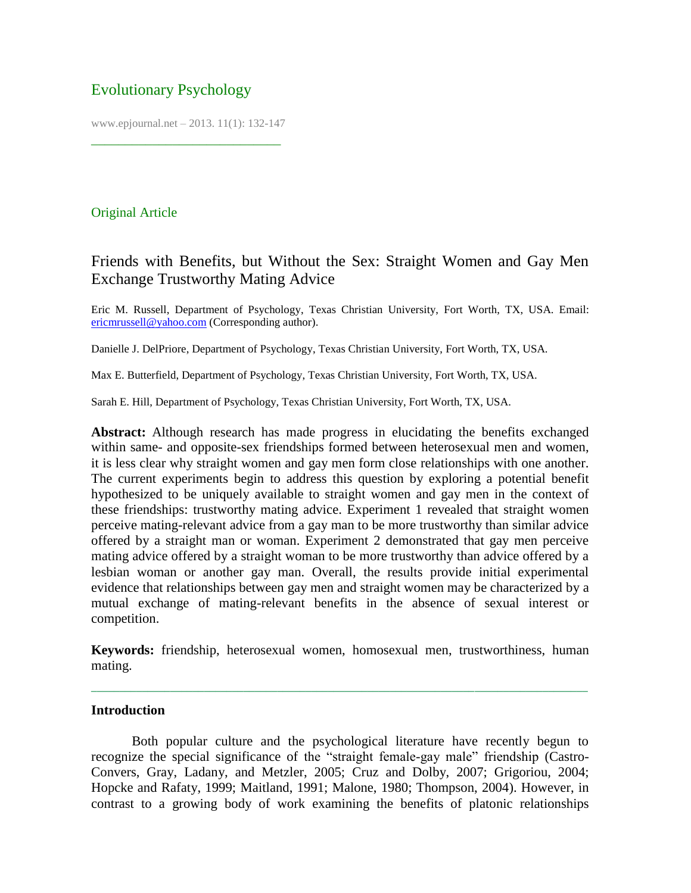# Evolutionary Psychology

www.epjournal.net – 2013. 11(1): 132-147

¯¯¯¯¯¯¯¯¯¯¯¯¯¯¯¯¯¯¯¯¯¯¯¯¯¯¯¯

# Original Article

# Friends with Benefits, but Without the Sex: Straight Women and Gay Men Exchange Trustworthy Mating Advice

Eric M. Russell, Department of Psychology, Texas Christian University, Fort Worth, TX, USA. Email: [ericmrussell@yahoo.com](mailto:ericmrussell@yahoo.com) (Corresponding author).

Danielle J. DelPriore, Department of Psychology, Texas Christian University, Fort Worth, TX, USA.

Max E. Butterfield, Department of Psychology, Texas Christian University, Fort Worth, TX, USA.

Sarah E. Hill, Department of Psychology, Texas Christian University, Fort Worth, TX, USA.

**Abstract:** Although research has made progress in elucidating the benefits exchanged within same- and opposite-sex friendships formed between heterosexual men and women, it is less clear why straight women and gay men form close relationships with one another. The current experiments begin to address this question by exploring a potential benefit hypothesized to be uniquely available to straight women and gay men in the context of these friendships: trustworthy mating advice. Experiment 1 revealed that straight women perceive mating-relevant advice from a gay man to be more trustworthy than similar advice offered by a straight man or woman. Experiment 2 demonstrated that gay men perceive mating advice offered by a straight woman to be more trustworthy than advice offered by a lesbian woman or another gay man. Overall, the results provide initial experimental evidence that relationships between gay men and straight women may be characterized by a mutual exchange of mating-relevant benefits in the absence of sexual interest or competition.

**Keywords:** friendship, heterosexual women, homosexual men, trustworthiness, human mating.

**¯¯¯¯¯¯¯¯¯¯¯¯¯¯¯¯¯¯¯¯¯¯¯¯¯¯¯¯¯¯¯¯¯¯¯¯¯¯¯¯¯¯¯¯¯¯¯¯¯¯¯¯¯¯¯¯¯¯¯¯¯¯¯¯¯¯¯¯¯¯¯¯¯¯¯¯¯¯¯¯¯¯¯¯¯¯¯¯**

# **Introduction**

Both popular culture and the psychological literature have recently begun to recognize the special significance of the "straight female-gay male" friendship (Castro-Convers, Gray, Ladany, and Metzler, 2005; Cruz and Dolby, 2007; Grigoriou, 2004; Hopcke and Rafaty, 1999; Maitland, 1991; Malone, 1980; Thompson, 2004). However, in contrast to a growing body of work examining the benefits of platonic relationships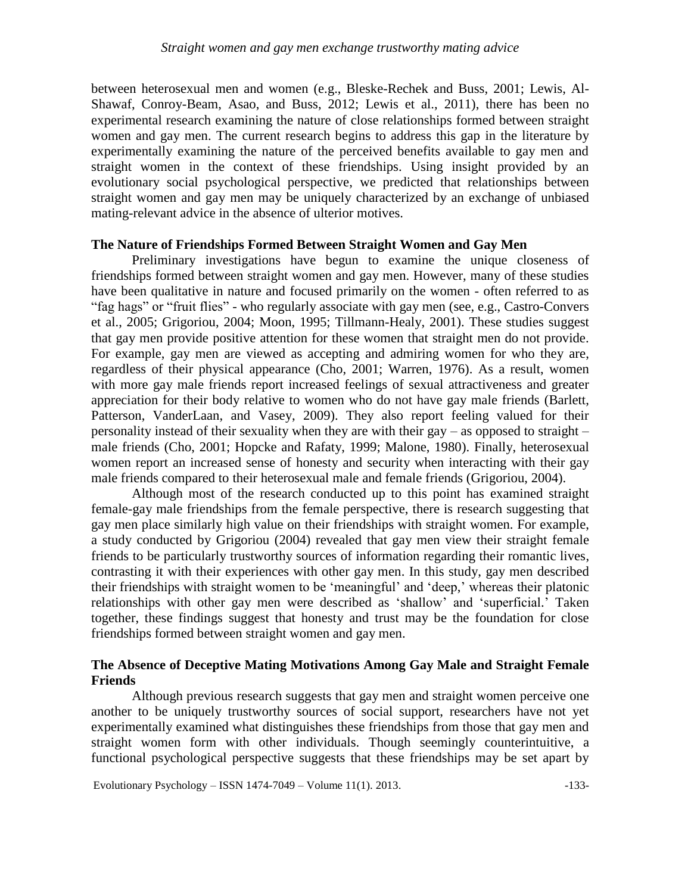between heterosexual men and women (e.g., Bleske-Rechek and Buss, 2001; Lewis, Al-Shawaf, Conroy-Beam, Asao, and Buss, 2012; Lewis et al., 2011), there has been no experimental research examining the nature of close relationships formed between straight women and gay men. The current research begins to address this gap in the literature by experimentally examining the nature of the perceived benefits available to gay men and straight women in the context of these friendships. Using insight provided by an evolutionary social psychological perspective, we predicted that relationships between straight women and gay men may be uniquely characterized by an exchange of unbiased mating-relevant advice in the absence of ulterior motives.

## **The Nature of Friendships Formed Between Straight Women and Gay Men**

Preliminary investigations have begun to examine the unique closeness of friendships formed between straight women and gay men. However, many of these studies have been qualitative in nature and focused primarily on the women - often referred to as "fag hags" or "fruit flies" - who regularly associate with gay men (see, e.g., Castro-Convers et al., 2005; Grigoriou, 2004; Moon, 1995; Tillmann-Healy, 2001). These studies suggest that gay men provide positive attention for these women that straight men do not provide. For example, gay men are viewed as accepting and admiring women for who they are, regardless of their physical appearance (Cho, 2001; Warren, 1976). As a result, women with more gay male friends report increased feelings of sexual attractiveness and greater appreciation for their body relative to women who do not have gay male friends (Barlett, Patterson, VanderLaan, and Vasey, 2009). They also report feeling valued for their personality instead of their sexuality when they are with their gay – as opposed to straight – male friends (Cho, 2001; Hopcke and Rafaty, 1999; Malone, 1980). Finally, heterosexual women report an increased sense of honesty and security when interacting with their gay male friends compared to their heterosexual male and female friends (Grigoriou, 2004).

Although most of the research conducted up to this point has examined straight female-gay male friendships from the female perspective, there is research suggesting that gay men place similarly high value on their friendships with straight women. For example, a study conducted by Grigoriou (2004) revealed that gay men view their straight female friends to be particularly trustworthy sources of information regarding their romantic lives, contrasting it with their experiences with other gay men. In this study, gay men described their friendships with straight women to be 'meaningful' and 'deep,' whereas their platonic relationships with other gay men were described as 'shallow' and 'superficial.' Taken together, these findings suggest that honesty and trust may be the foundation for close friendships formed between straight women and gay men.

# **The Absence of Deceptive Mating Motivations Among Gay Male and Straight Female Friends**

Although previous research suggests that gay men and straight women perceive one another to be uniquely trustworthy sources of social support, researchers have not yet experimentally examined what distinguishes these friendships from those that gay men and straight women form with other individuals. Though seemingly counterintuitive, a functional psychological perspective suggests that these friendships may be set apart by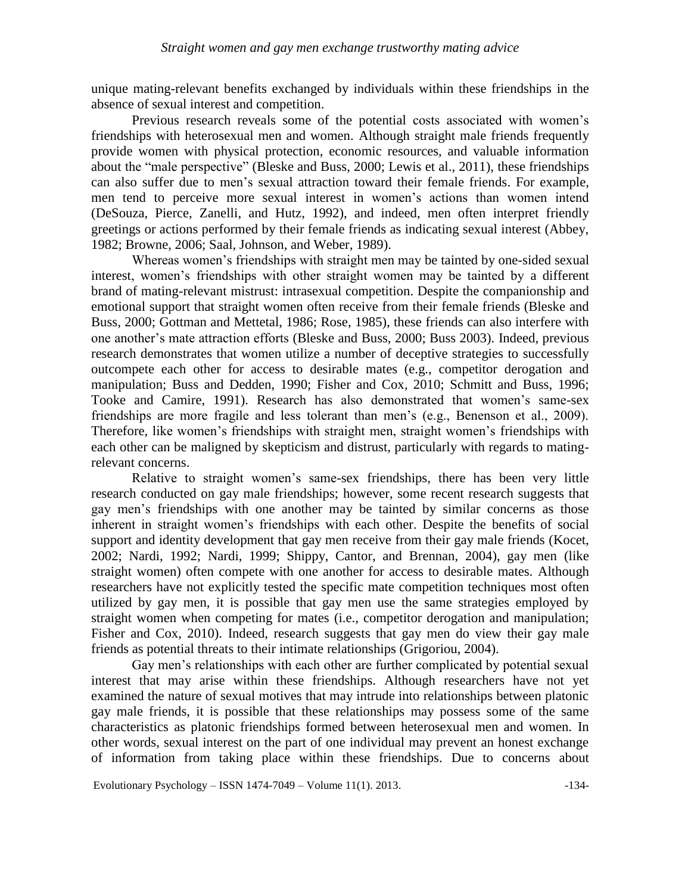unique mating-relevant benefits exchanged by individuals within these friendships in the absence of sexual interest and competition.

Previous research reveals some of the potential costs associated with women's friendships with heterosexual men and women. Although straight male friends frequently provide women with physical protection, economic resources, and valuable information about the "male perspective" (Bleske and Buss, 2000; Lewis et al., 2011), these friendships can also suffer due to men's sexual attraction toward their female friends. For example, men tend to perceive more sexual interest in women's actions than women intend (DeSouza, Pierce, Zanelli, and Hutz, 1992), and indeed, men often interpret friendly greetings or actions performed by their female friends as indicating sexual interest (Abbey, 1982; Browne, 2006; Saal, Johnson, and Weber, 1989).

Whereas women's friendships with straight men may be tainted by one-sided sexual interest, women's friendships with other straight women may be tainted by a different brand of mating-relevant mistrust: intrasexual competition. Despite the companionship and emotional support that straight women often receive from their female friends (Bleske and Buss, 2000; Gottman and Mettetal, 1986; Rose, 1985), these friends can also interfere with one another's mate attraction efforts (Bleske and Buss, 2000; Buss 2003). Indeed, previous research demonstrates that women utilize a number of deceptive strategies to successfully outcompete each other for access to desirable mates (e.g., competitor derogation and manipulation; Buss and Dedden, 1990; Fisher and Cox, 2010; Schmitt and Buss, 1996; Tooke and Camire, 1991). Research has also demonstrated that women's same-sex friendships are more fragile and less tolerant than men's (e.g., Benenson et al., 2009). Therefore, like women's friendships with straight men, straight women's friendships with each other can be maligned by skepticism and distrust, particularly with regards to matingrelevant concerns.

Relative to straight women's same-sex friendships, there has been very little research conducted on gay male friendships; however, some recent research suggests that gay men's friendships with one another may be tainted by similar concerns as those inherent in straight women's friendships with each other. Despite the benefits of social support and identity development that gay men receive from their gay male friends (Kocet, 2002; Nardi, 1992; Nardi, 1999; Shippy, Cantor, and Brennan, 2004), gay men (like straight women) often compete with one another for access to desirable mates. Although researchers have not explicitly tested the specific mate competition techniques most often utilized by gay men, it is possible that gay men use the same strategies employed by straight women when competing for mates (i.e., competitor derogation and manipulation; Fisher and Cox, 2010). Indeed, research suggests that gay men do view their gay male friends as potential threats to their intimate relationships (Grigoriou, 2004).

Gay men's relationships with each other are further complicated by potential sexual interest that may arise within these friendships. Although researchers have not yet examined the nature of sexual motives that may intrude into relationships between platonic gay male friends, it is possible that these relationships may possess some of the same characteristics as platonic friendships formed between heterosexual men and women. In other words, sexual interest on the part of one individual may prevent an honest exchange of information from taking place within these friendships. Due to concerns about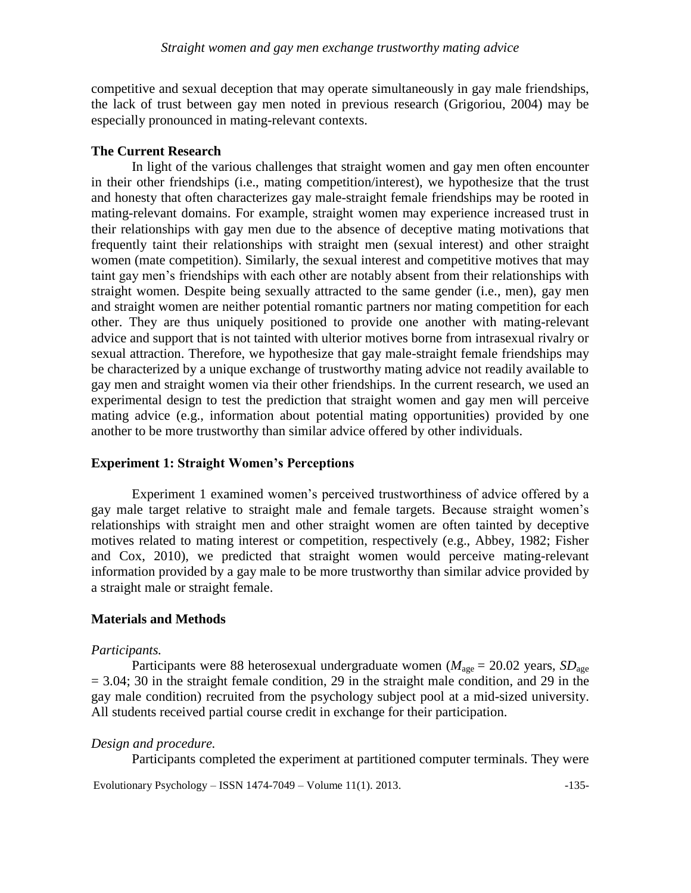competitive and sexual deception that may operate simultaneously in gay male friendships, the lack of trust between gay men noted in previous research (Grigoriou, 2004) may be especially pronounced in mating-relevant contexts.

## **The Current Research**

In light of the various challenges that straight women and gay men often encounter in their other friendships (i.e., mating competition/interest), we hypothesize that the trust and honesty that often characterizes gay male-straight female friendships may be rooted in mating-relevant domains. For example, straight women may experience increased trust in their relationships with gay men due to the absence of deceptive mating motivations that frequently taint their relationships with straight men (sexual interest) and other straight women (mate competition). Similarly, the sexual interest and competitive motives that may taint gay men's friendships with each other are notably absent from their relationships with straight women. Despite being sexually attracted to the same gender (i.e., men), gay men and straight women are neither potential romantic partners nor mating competition for each other. They are thus uniquely positioned to provide one another with mating-relevant advice and support that is not tainted with ulterior motives borne from intrasexual rivalry or sexual attraction. Therefore, we hypothesize that gay male-straight female friendships may be characterized by a unique exchange of trustworthy mating advice not readily available to gay men and straight women via their other friendships. In the current research, we used an experimental design to test the prediction that straight women and gay men will perceive mating advice (e.g., information about potential mating opportunities) provided by one another to be more trustworthy than similar advice offered by other individuals.

# **Experiment 1: Straight Women's Perceptions**

Experiment 1 examined women's perceived trustworthiness of advice offered by a gay male target relative to straight male and female targets. Because straight women's relationships with straight men and other straight women are often tainted by deceptive motives related to mating interest or competition, respectively (e.g., Abbey, 1982; Fisher and Cox, 2010), we predicted that straight women would perceive mating-relevant information provided by a gay male to be more trustworthy than similar advice provided by a straight male or straight female.

# **Materials and Methods**

# *Participants.*

Participants were 88 heterosexual undergraduate women ( $M_{\text{age}} = 20.02$  years,  $SD_{\text{age}}$ )  $= 3.04$ ; 30 in the straight female condition, 29 in the straight male condition, and 29 in the gay male condition) recruited from the psychology subject pool at a mid-sized university. All students received partial course credit in exchange for their participation.

### *Design and procedure.*

Participants completed the experiment at partitioned computer terminals. They were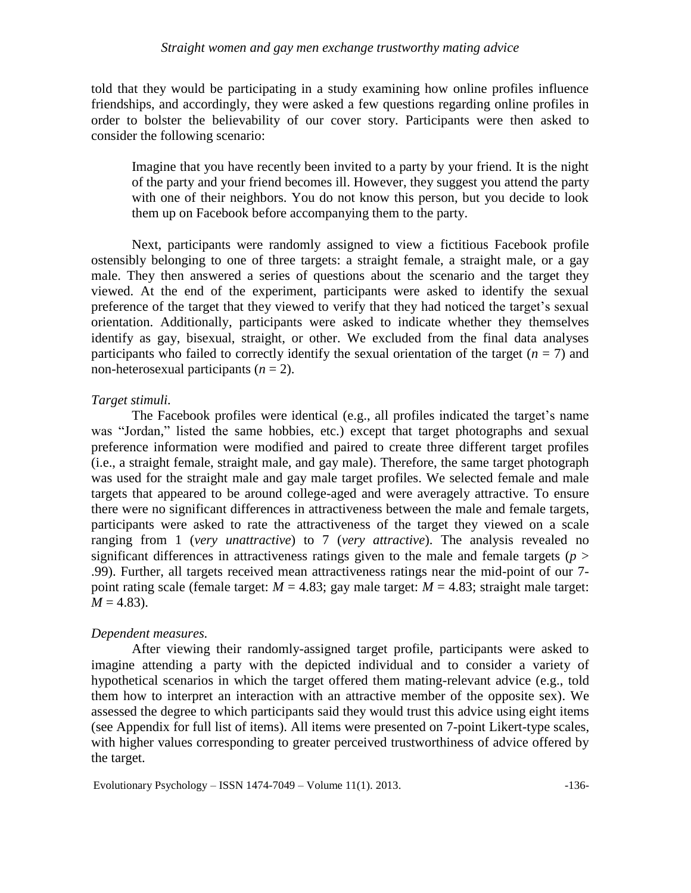### *Straight women and gay men exchange trustworthy mating advice*

told that they would be participating in a study examining how online profiles influence friendships, and accordingly, they were asked a few questions regarding online profiles in order to bolster the believability of our cover story. Participants were then asked to consider the following scenario:

Imagine that you have recently been invited to a party by your friend. It is the night of the party and your friend becomes ill. However, they suggest you attend the party with one of their neighbors. You do not know this person, but you decide to look them up on Facebook before accompanying them to the party.

Next, participants were randomly assigned to view a fictitious Facebook profile ostensibly belonging to one of three targets: a straight female, a straight male, or a gay male. They then answered a series of questions about the scenario and the target they viewed. At the end of the experiment, participants were asked to identify the sexual preference of the target that they viewed to verify that they had noticed the target's sexual orientation. Additionally, participants were asked to indicate whether they themselves identify as gay, bisexual, straight, or other. We excluded from the final data analyses participants who failed to correctly identify the sexual orientation of the target  $(n = 7)$  and non-heterosexual participants (*n* = 2).

#### *Target stimuli.*

The Facebook profiles were identical (e.g., all profiles indicated the target's name was "Jordan," listed the same hobbies, etc.) except that target photographs and sexual preference information were modified and paired to create three different target profiles (i.e., a straight female, straight male, and gay male). Therefore, the same target photograph was used for the straight male and gay male target profiles. We selected female and male targets that appeared to be around college-aged and were averagely attractive. To ensure there were no significant differences in attractiveness between the male and female targets, participants were asked to rate the attractiveness of the target they viewed on a scale ranging from 1 (*very unattractive*) to 7 (*very attractive*). The analysis revealed no significant differences in attractiveness ratings given to the male and female targets ( $p >$ .99). Further, all targets received mean attractiveness ratings near the mid-point of our 7 point rating scale (female target:  $M = 4.83$ ; gay male target:  $M = 4.83$ ; straight male target:  $M = 4.83$ .

### *Dependent measures.*

After viewing their randomly-assigned target profile, participants were asked to imagine attending a party with the depicted individual and to consider a variety of hypothetical scenarios in which the target offered them mating-relevant advice (e.g., told them how to interpret an interaction with an attractive member of the opposite sex). We assessed the degree to which participants said they would trust this advice using eight items (see Appendix for full list of items). All items were presented on 7-point Likert-type scales, with higher values corresponding to greater perceived trustworthiness of advice offered by the target.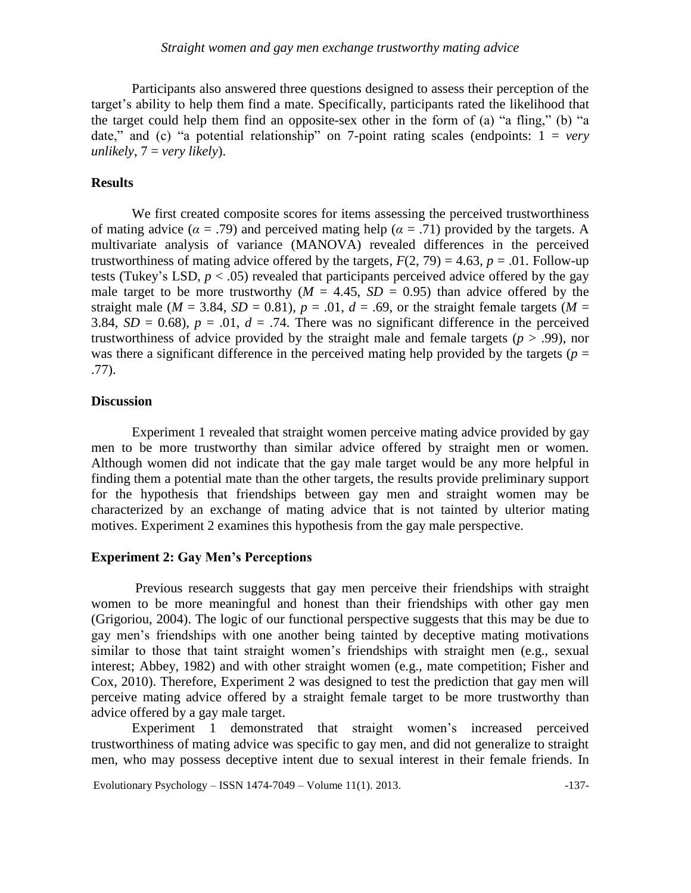Participants also answered three questions designed to assess their perception of the target's ability to help them find a mate. Specifically, participants rated the likelihood that the target could help them find an opposite-sex other in the form of (a) "a fling," (b) "a date," and (c) "a potential relationship" on 7-point rating scales (endpoints: 1 = *very unlikely*, 7 = *very likely*).

# **Results**

We first created composite scores for items assessing the perceived trustworthiness of mating advice ( $\alpha$  = .79) and perceived mating help ( $\alpha$  = .71) provided by the targets. A multivariate analysis of variance (MANOVA) revealed differences in the perceived trustworthiness of mating advice offered by the targets,  $F(2, 79) = 4.63$ ,  $p = .01$ . Follow-up tests (Tukey's LSD,  $p < .05$ ) revealed that participants perceived advice offered by the gay male target to be more trustworthy ( $M = 4.45$ ,  $SD = 0.95$ ) than advice offered by the straight male ( $M = 3.84$ ,  $SD = 0.81$ ),  $p = .01$ ,  $d = .69$ , or the straight female targets ( $M =$ 3.84,  $SD = 0.68$ ),  $p = .01$ ,  $d = .74$ . There was no significant difference in the perceived trustworthiness of advice provided by the straight male and female targets ( $p > .99$ ), nor was there a significant difference in the perceived mating help provided by the targets ( $p =$ .77).

### **Discussion**

Experiment 1 revealed that straight women perceive mating advice provided by gay men to be more trustworthy than similar advice offered by straight men or women. Although women did not indicate that the gay male target would be any more helpful in finding them a potential mate than the other targets, the results provide preliminary support for the hypothesis that friendships between gay men and straight women may be characterized by an exchange of mating advice that is not tainted by ulterior mating motives. Experiment 2 examines this hypothesis from the gay male perspective.

#### **Experiment 2: Gay Men's Perceptions**

Previous research suggests that gay men perceive their friendships with straight women to be more meaningful and honest than their friendships with other gay men (Grigoriou, 2004). The logic of our functional perspective suggests that this may be due to gay men's friendships with one another being tainted by deceptive mating motivations similar to those that taint straight women's friendships with straight men (e.g., sexual interest; Abbey, 1982) and with other straight women (e.g., mate competition; Fisher and Cox, 2010). Therefore, Experiment 2 was designed to test the prediction that gay men will perceive mating advice offered by a straight female target to be more trustworthy than advice offered by a gay male target.

Experiment 1 demonstrated that straight women's increased perceived trustworthiness of mating advice was specific to gay men, and did not generalize to straight men, who may possess deceptive intent due to sexual interest in their female friends. In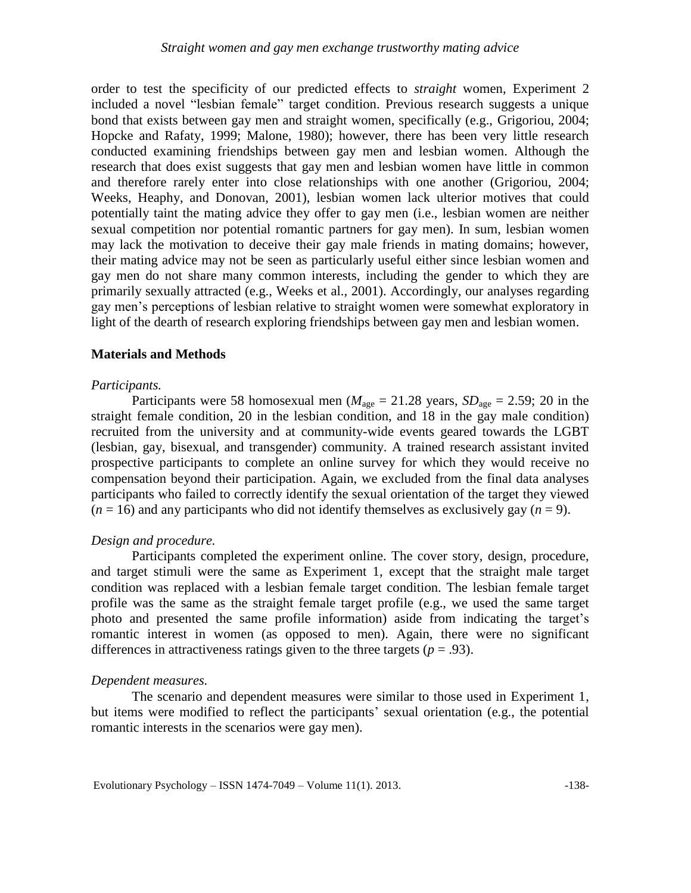order to test the specificity of our predicted effects to *straight* women, Experiment 2 included a novel "lesbian female" target condition. Previous research suggests a unique bond that exists between gay men and straight women, specifically (e.g., Grigoriou, 2004; Hopcke and Rafaty, 1999; Malone, 1980); however, there has been very little research conducted examining friendships between gay men and lesbian women. Although the research that does exist suggests that gay men and lesbian women have little in common and therefore rarely enter into close relationships with one another (Grigoriou, 2004; Weeks, Heaphy, and Donovan, 2001), lesbian women lack ulterior motives that could potentially taint the mating advice they offer to gay men (i.e., lesbian women are neither sexual competition nor potential romantic partners for gay men). In sum, lesbian women may lack the motivation to deceive their gay male friends in mating domains; however, their mating advice may not be seen as particularly useful either since lesbian women and gay men do not share many common interests, including the gender to which they are primarily sexually attracted (e.g., Weeks et al., 2001). Accordingly, our analyses regarding gay men's perceptions of lesbian relative to straight women were somewhat exploratory in light of the dearth of research exploring friendships between gay men and lesbian women.

#### **Materials and Methods**

#### *Participants.*

Participants were 58 homosexual men ( $M_{\text{age}} = 21.28$  years,  $SD_{\text{age}} = 2.59$ ; 20 in the straight female condition, 20 in the lesbian condition, and 18 in the gay male condition) recruited from the university and at community-wide events geared towards the LGBT (lesbian, gay, bisexual, and transgender) community. A trained research assistant invited prospective participants to complete an online survey for which they would receive no compensation beyond their participation. Again, we excluded from the final data analyses participants who failed to correctly identify the sexual orientation of the target they viewed  $(n = 16)$  and any participants who did not identify themselves as exclusively gay  $(n = 9)$ .

#### *Design and procedure.*

Participants completed the experiment online. The cover story, design, procedure, and target stimuli were the same as Experiment 1, except that the straight male target condition was replaced with a lesbian female target condition. The lesbian female target profile was the same as the straight female target profile (e.g., we used the same target photo and presented the same profile information) aside from indicating the target's romantic interest in women (as opposed to men). Again, there were no significant differences in attractiveness ratings given to the three targets  $(p = .93)$ .

#### *Dependent measures.*

The scenario and dependent measures were similar to those used in Experiment 1, but items were modified to reflect the participants' sexual orientation (e.g., the potential romantic interests in the scenarios were gay men).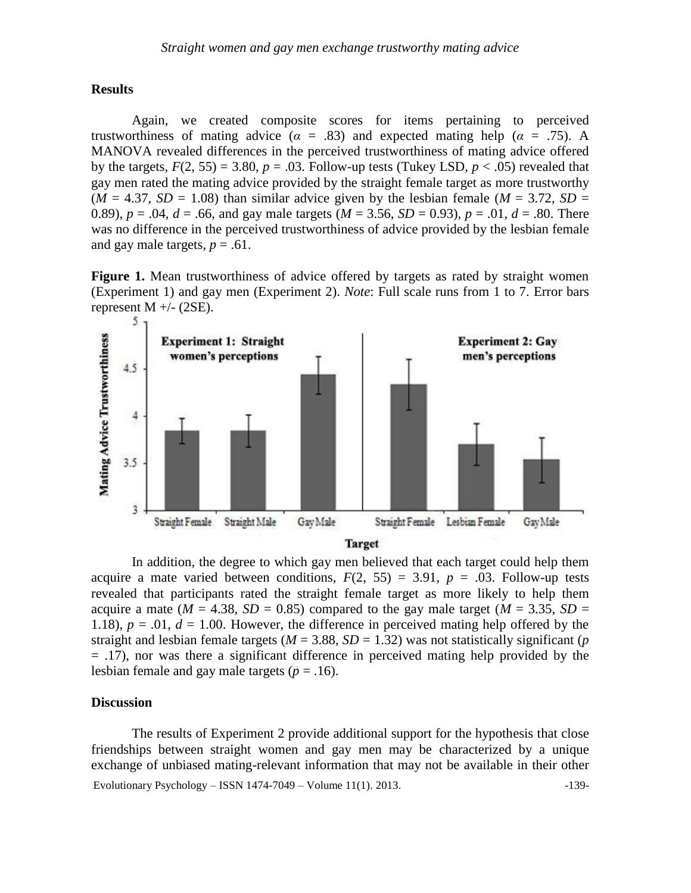# **Results**

Again, we created composite scores for items pertaining to perceived trustworthiness of mating advice ( $\alpha = .83$ ) and expected mating help ( $\alpha = .75$ ). A MANOVA revealed differences in the perceived trustworthiness of mating advice offered by the targets,  $F(2, 55) = 3.80$ ,  $p = .03$ . Follow-up tests (Tukey LSD,  $p < .05$ ) revealed that gay men rated the mating advice provided by the straight female target as more trustworthy  $(M = 4.37, SD = 1.08)$  than similar advice given by the lesbian female  $(M = 3.72, SD =$ 0.89),  $p = .04$ ,  $d = .66$ , and gay male targets ( $M = 3.56$ ,  $SD = 0.93$ ),  $p = .01$ ,  $d = .80$ . There was no difference in the perceived trustworthiness of advice provided by the lesbian female and gay male targets,  $p = .61$ .

**Figure 1.** Mean trustworthiness of advice offered by targets as rated by straight women (Experiment 1) and gay men (Experiment 2). *Note*: Full scale runs from 1 to 7. Error bars represent  $M + (-2SE)$ .



In addition, the degree to which gay men believed that each target could help them acquire a mate varied between conditions,  $F(2, 55) = 3.91$ ,  $p = .03$ . Follow-up tests revealed that participants rated the straight female target as more likely to help them acquire a mate ( $M = 4.38$ ,  $SD = 0.85$ ) compared to the gay male target ( $M = 3.35$ ,  $SD = 1.35$ 1.18),  $p = .01$ ,  $d = 1.00$ . However, the difference in perceived mating help offered by the straight and lesbian female targets ( $M = 3.88$ ,  $SD = 1.32$ ) was not statistically significant (*p* = .17), nor was there a significant difference in perceived mating help provided by the lesbian female and gay male targets  $(p = .16)$ .

# **Discussion**

Evolutionary Psychology – ISSN 1474-7049 – Volume  $11(1)$ . 2013.  $-139$ -The results of Experiment 2 provide additional support for the hypothesis that close friendships between straight women and gay men may be characterized by a unique exchange of unbiased mating-relevant information that may not be available in their other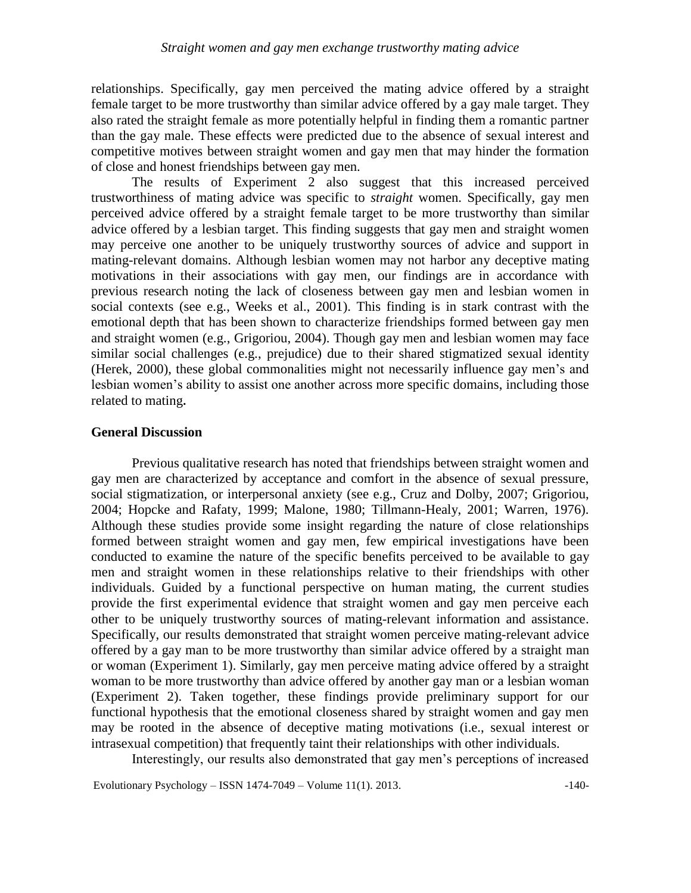relationships. Specifically, gay men perceived the mating advice offered by a straight female target to be more trustworthy than similar advice offered by a gay male target. They also rated the straight female as more potentially helpful in finding them a romantic partner than the gay male. These effects were predicted due to the absence of sexual interest and competitive motives between straight women and gay men that may hinder the formation of close and honest friendships between gay men.

The results of Experiment 2 also suggest that this increased perceived trustworthiness of mating advice was specific to *straight* women. Specifically, gay men perceived advice offered by a straight female target to be more trustworthy than similar advice offered by a lesbian target. This finding suggests that gay men and straight women may perceive one another to be uniquely trustworthy sources of advice and support in mating-relevant domains. Although lesbian women may not harbor any deceptive mating motivations in their associations with gay men, our findings are in accordance with previous research noting the lack of closeness between gay men and lesbian women in social contexts (see e.g., Weeks et al., 2001). This finding is in stark contrast with the emotional depth that has been shown to characterize friendships formed between gay men and straight women (e.g., Grigoriou, 2004). Though gay men and lesbian women may face similar social challenges (e.g., prejudice) due to their shared stigmatized sexual identity (Herek, 2000), these global commonalities might not necessarily influence gay men's and lesbian women's ability to assist one another across more specific domains, including those related to mating**.**

#### **General Discussion**

Previous qualitative research has noted that friendships between straight women and gay men are characterized by acceptance and comfort in the absence of sexual pressure, social stigmatization, or interpersonal anxiety (see e.g., Cruz and Dolby, 2007; Grigoriou, 2004; Hopcke and Rafaty, 1999; Malone, 1980; Tillmann-Healy, 2001; Warren, 1976). Although these studies provide some insight regarding the nature of close relationships formed between straight women and gay men, few empirical investigations have been conducted to examine the nature of the specific benefits perceived to be available to gay men and straight women in these relationships relative to their friendships with other individuals. Guided by a functional perspective on human mating, the current studies provide the first experimental evidence that straight women and gay men perceive each other to be uniquely trustworthy sources of mating-relevant information and assistance. Specifically, our results demonstrated that straight women perceive mating-relevant advice offered by a gay man to be more trustworthy than similar advice offered by a straight man or woman (Experiment 1). Similarly, gay men perceive mating advice offered by a straight woman to be more trustworthy than advice offered by another gay man or a lesbian woman (Experiment 2). Taken together, these findings provide preliminary support for our functional hypothesis that the emotional closeness shared by straight women and gay men may be rooted in the absence of deceptive mating motivations (i.e., sexual interest or intrasexual competition) that frequently taint their relationships with other individuals.

Interestingly, our results also demonstrated that gay men's perceptions of increased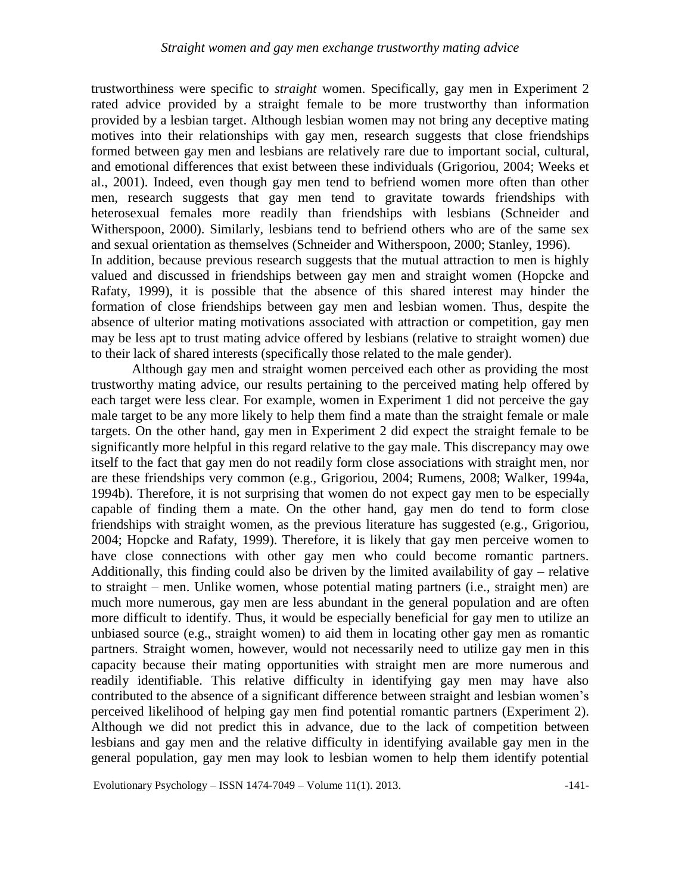trustworthiness were specific to *straight* women. Specifically, gay men in Experiment 2 rated advice provided by a straight female to be more trustworthy than information provided by a lesbian target. Although lesbian women may not bring any deceptive mating motives into their relationships with gay men, research suggests that close friendships formed between gay men and lesbians are relatively rare due to important social, cultural, and emotional differences that exist between these individuals (Grigoriou, 2004; Weeks et al., 2001). Indeed, even though gay men tend to befriend women more often than other men, research suggests that gay men tend to gravitate towards friendships with heterosexual females more readily than friendships with lesbians (Schneider and Witherspoon, 2000). Similarly, lesbians tend to befriend others who are of the same sex and sexual orientation as themselves (Schneider and Witherspoon, 2000; Stanley, 1996). In addition, because previous research suggests that the mutual attraction to men is highly valued and discussed in friendships between gay men and straight women (Hopcke and Rafaty, 1999), it is possible that the absence of this shared interest may hinder the formation of close friendships between gay men and lesbian women. Thus, despite the absence of ulterior mating motivations associated with attraction or competition, gay men may be less apt to trust mating advice offered by lesbians (relative to straight women) due to their lack of shared interests (specifically those related to the male gender).

Although gay men and straight women perceived each other as providing the most trustworthy mating advice, our results pertaining to the perceived mating help offered by each target were less clear. For example, women in Experiment 1 did not perceive the gay male target to be any more likely to help them find a mate than the straight female or male targets. On the other hand, gay men in Experiment 2 did expect the straight female to be significantly more helpful in this regard relative to the gay male. This discrepancy may owe itself to the fact that gay men do not readily form close associations with straight men, nor are these friendships very common (e.g., Grigoriou, 2004; Rumens, 2008; Walker, 1994a, 1994b). Therefore, it is not surprising that women do not expect gay men to be especially capable of finding them a mate. On the other hand, gay men do tend to form close friendships with straight women, as the previous literature has suggested (e.g., Grigoriou, 2004; Hopcke and Rafaty, 1999). Therefore, it is likely that gay men perceive women to have close connections with other gay men who could become romantic partners. Additionally, this finding could also be driven by the limited availability of gay – relative to straight – men. Unlike women, whose potential mating partners (i.e., straight men) are much more numerous, gay men are less abundant in the general population and are often more difficult to identify. Thus, it would be especially beneficial for gay men to utilize an unbiased source (e.g., straight women) to aid them in locating other gay men as romantic partners. Straight women, however, would not necessarily need to utilize gay men in this capacity because their mating opportunities with straight men are more numerous and readily identifiable. This relative difficulty in identifying gay men may have also contributed to the absence of a significant difference between straight and lesbian women's perceived likelihood of helping gay men find potential romantic partners (Experiment 2). Although we did not predict this in advance, due to the lack of competition between lesbians and gay men and the relative difficulty in identifying available gay men in the general population, gay men may look to lesbian women to help them identify potential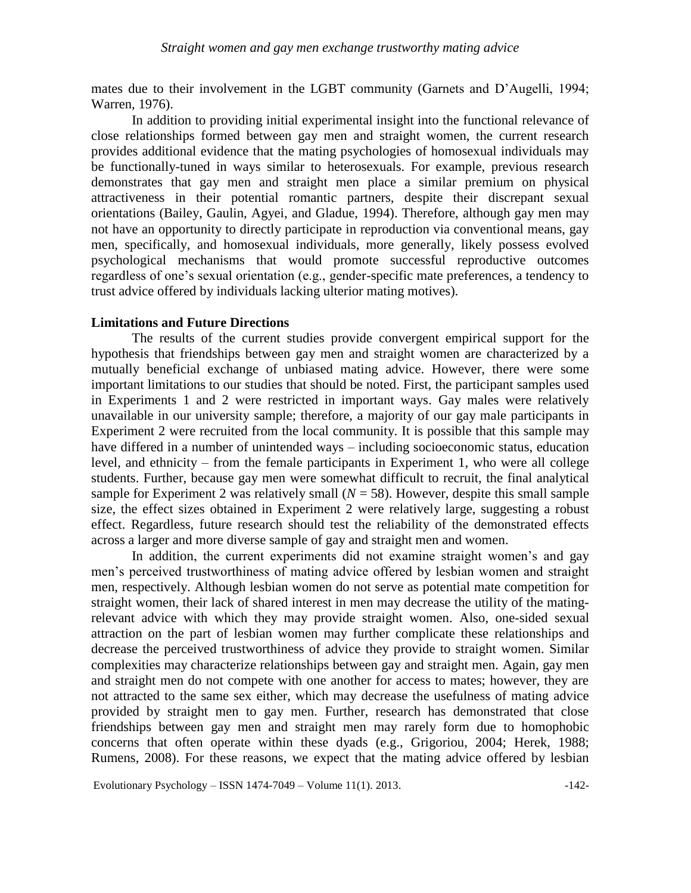mates due to their involvement in the LGBT community (Garnets and D'Augelli, 1994; Warren, 1976).

In addition to providing initial experimental insight into the functional relevance of close relationships formed between gay men and straight women, the current research provides additional evidence that the mating psychologies of homosexual individuals may be functionally-tuned in ways similar to heterosexuals. For example, previous research demonstrates that gay men and straight men place a similar premium on physical attractiveness in their potential romantic partners, despite their discrepant sexual orientations (Bailey, Gaulin, Agyei, and Gladue, 1994). Therefore, although gay men may not have an opportunity to directly participate in reproduction via conventional means, gay men, specifically, and homosexual individuals, more generally, likely possess evolved psychological mechanisms that would promote successful reproductive outcomes regardless of one's sexual orientation (e.g., gender-specific mate preferences, a tendency to trust advice offered by individuals lacking ulterior mating motives).

## **Limitations and Future Directions**

The results of the current studies provide convergent empirical support for the hypothesis that friendships between gay men and straight women are characterized by a mutually beneficial exchange of unbiased mating advice. However, there were some important limitations to our studies that should be noted. First, the participant samples used in Experiments 1 and 2 were restricted in important ways. Gay males were relatively unavailable in our university sample; therefore, a majority of our gay male participants in Experiment 2 were recruited from the local community. It is possible that this sample may have differed in a number of unintended ways – including socioeconomic status, education level, and ethnicity – from the female participants in Experiment 1, who were all college students. Further, because gay men were somewhat difficult to recruit, the final analytical sample for Experiment 2 was relatively small  $(N = 58)$ . However, despite this small sample size, the effect sizes obtained in Experiment 2 were relatively large, suggesting a robust effect. Regardless, future research should test the reliability of the demonstrated effects across a larger and more diverse sample of gay and straight men and women.

In addition, the current experiments did not examine straight women's and gay men's perceived trustworthiness of mating advice offered by lesbian women and straight men, respectively. Although lesbian women do not serve as potential mate competition for straight women, their lack of shared interest in men may decrease the utility of the matingrelevant advice with which they may provide straight women. Also, one-sided sexual attraction on the part of lesbian women may further complicate these relationships and decrease the perceived trustworthiness of advice they provide to straight women. Similar complexities may characterize relationships between gay and straight men. Again, gay men and straight men do not compete with one another for access to mates; however, they are not attracted to the same sex either, which may decrease the usefulness of mating advice provided by straight men to gay men. Further, research has demonstrated that close friendships between gay men and straight men may rarely form due to homophobic concerns that often operate within these dyads (e.g., Grigoriou, 2004; Herek, 1988; Rumens, 2008). For these reasons, we expect that the mating advice offered by lesbian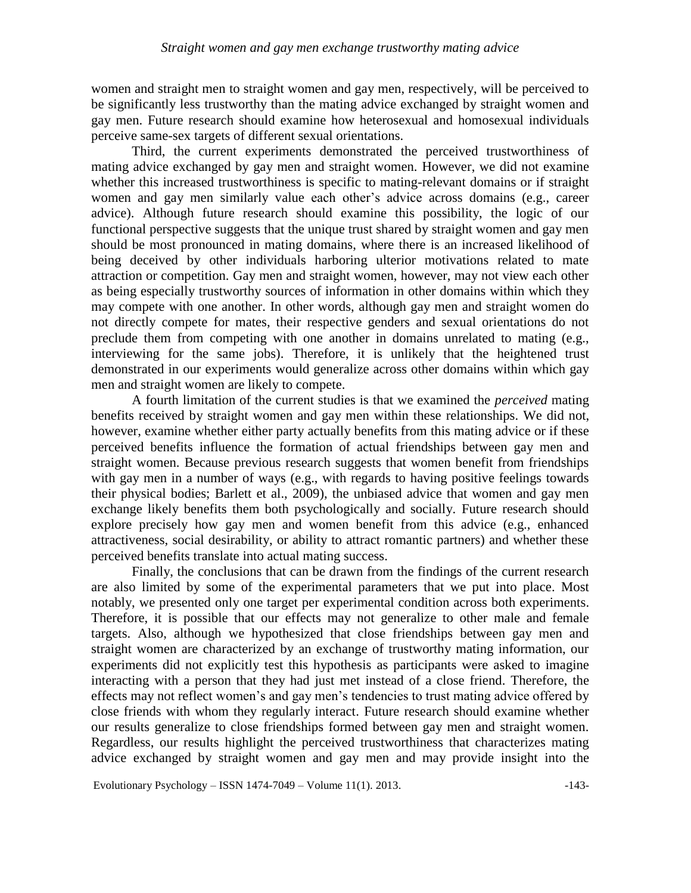women and straight men to straight women and gay men, respectively, will be perceived to be significantly less trustworthy than the mating advice exchanged by straight women and gay men. Future research should examine how heterosexual and homosexual individuals perceive same-sex targets of different sexual orientations.

Third, the current experiments demonstrated the perceived trustworthiness of mating advice exchanged by gay men and straight women. However, we did not examine whether this increased trustworthiness is specific to mating-relevant domains or if straight women and gay men similarly value each other's advice across domains (e.g., career advice). Although future research should examine this possibility, the logic of our functional perspective suggests that the unique trust shared by straight women and gay men should be most pronounced in mating domains, where there is an increased likelihood of being deceived by other individuals harboring ulterior motivations related to mate attraction or competition. Gay men and straight women, however, may not view each other as being especially trustworthy sources of information in other domains within which they may compete with one another. In other words, although gay men and straight women do not directly compete for mates, their respective genders and sexual orientations do not preclude them from competing with one another in domains unrelated to mating (e.g., interviewing for the same jobs). Therefore, it is unlikely that the heightened trust demonstrated in our experiments would generalize across other domains within which gay men and straight women are likely to compete.

A fourth limitation of the current studies is that we examined the *perceived* mating benefits received by straight women and gay men within these relationships. We did not, however, examine whether either party actually benefits from this mating advice or if these perceived benefits influence the formation of actual friendships between gay men and straight women. Because previous research suggests that women benefit from friendships with gay men in a number of ways (e.g., with regards to having positive feelings towards their physical bodies; Barlett et al., 2009), the unbiased advice that women and gay men exchange likely benefits them both psychologically and socially. Future research should explore precisely how gay men and women benefit from this advice (e.g., enhanced attractiveness, social desirability, or ability to attract romantic partners) and whether these perceived benefits translate into actual mating success.

Finally, the conclusions that can be drawn from the findings of the current research are also limited by some of the experimental parameters that we put into place. Most notably, we presented only one target per experimental condition across both experiments. Therefore, it is possible that our effects may not generalize to other male and female targets. Also, although we hypothesized that close friendships between gay men and straight women are characterized by an exchange of trustworthy mating information, our experiments did not explicitly test this hypothesis as participants were asked to imagine interacting with a person that they had just met instead of a close friend. Therefore, the effects may not reflect women's and gay men's tendencies to trust mating advice offered by close friends with whom they regularly interact. Future research should examine whether our results generalize to close friendships formed between gay men and straight women. Regardless, our results highlight the perceived trustworthiness that characterizes mating advice exchanged by straight women and gay men and may provide insight into the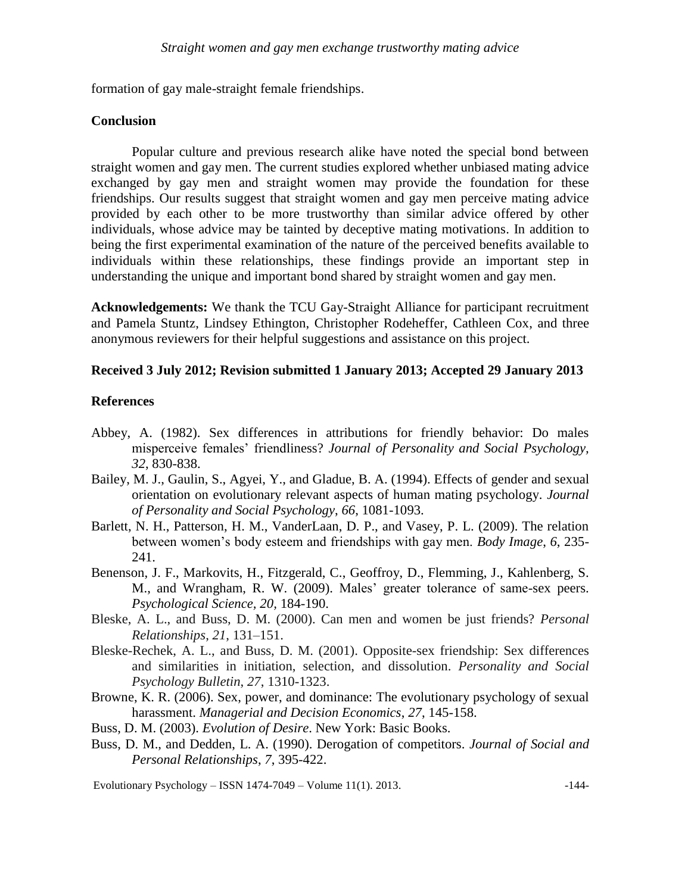formation of gay male-straight female friendships.

## **Conclusion**

Popular culture and previous research alike have noted the special bond between straight women and gay men. The current studies explored whether unbiased mating advice exchanged by gay men and straight women may provide the foundation for these friendships. Our results suggest that straight women and gay men perceive mating advice provided by each other to be more trustworthy than similar advice offered by other individuals, whose advice may be tainted by deceptive mating motivations. In addition to being the first experimental examination of the nature of the perceived benefits available to individuals within these relationships, these findings provide an important step in understanding the unique and important bond shared by straight women and gay men.

**Acknowledgements:** We thank the TCU Gay-Straight Alliance for participant recruitment and Pamela Stuntz, Lindsey Ethington, Christopher Rodeheffer, Cathleen Cox, and three anonymous reviewers for their helpful suggestions and assistance on this project.

# **Received 3 July 2012; Revision submitted 1 January 2013; Accepted 29 January 2013**

## **References**

- Abbey, A. (1982). Sex differences in attributions for friendly behavior: Do males misperceive females' friendliness? *Journal of Personality and Social Psychology, 32*, 830-838.
- Bailey, M. J., Gaulin, S., Agyei, Y., and Gladue, B. A. (1994). Effects of gender and sexual orientation on evolutionary relevant aspects of human mating psychology. *Journal of Personality and Social Psychology*, *66*, 1081-1093.
- Barlett, N. H., Patterson, H. M., VanderLaan, D. P., and Vasey, P. L. (2009). The relation between women's body esteem and friendships with gay men. *Body Image*, *6*, 235- 241.
- Benenson, J. F., Markovits, H., Fitzgerald, C., Geoffroy, D., Flemming, J., Kahlenberg, S. M., and Wrangham, R. W. (2009). Males' greater tolerance of same-sex peers. *Psychological Science, 20,* 184-190.
- Bleske, A. L., and Buss, D. M. (2000). Can men and women be just friends? *Personal Relationships*, *21*, 131–151.
- Bleske-Rechek, A. L., and Buss, D. M. (2001). Opposite-sex friendship: Sex differences and similarities in initiation, selection, and dissolution. *Personality and Social Psychology Bulletin*, *27*, 1310-1323.
- Browne, K. R. (2006). Sex, power, and dominance: The evolutionary psychology of sexual harassment. *Managerial and Decision Economics*, *27*, 145-158.
- Buss, D. M. (2003). *Evolution of Desire*. New York: Basic Books.
- Buss, D. M., and Dedden, L. A. (1990). Derogation of competitors. *Journal of Social and Personal Relationships*, *7*, 395-422.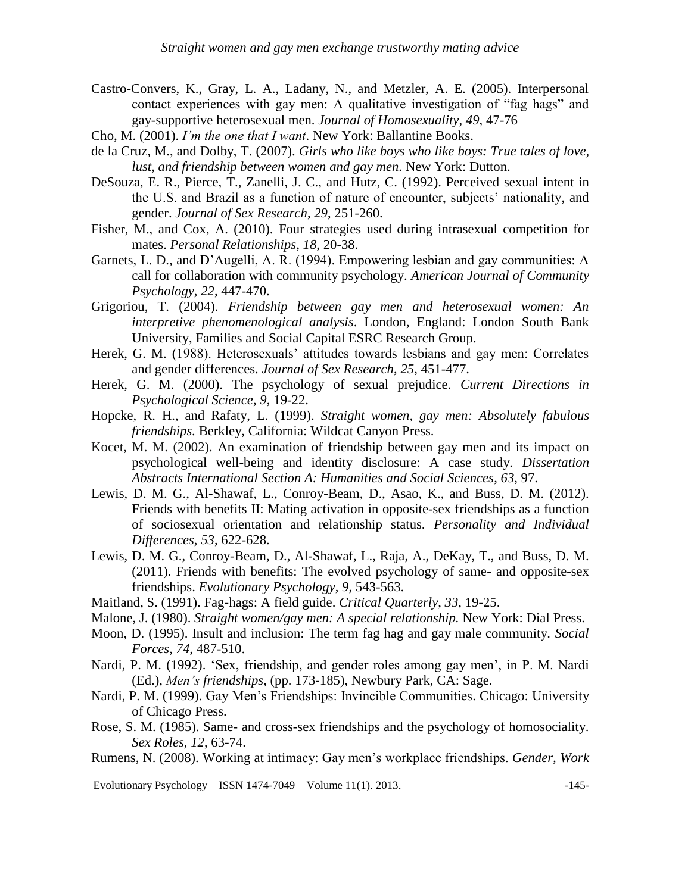- Castro-Convers, K., Gray, L. A., Ladany, N., and Metzler, A. E. (2005). Interpersonal contact experiences with gay men: A qualitative investigation of "fag hags" and gay-supportive heterosexual men. *Journal of Homosexuality*, *49*, 47-76
- Cho, M. (2001). *I'm the one that I want*. New York: Ballantine Books.
- de la Cruz, M., and Dolby, T. (2007). *Girls who like boys who like boys: True tales of love, lust, and friendship between women and gay men*. New York: Dutton.
- DeSouza, E. R., Pierce, T., Zanelli, J. C., and Hutz, C. (1992). Perceived sexual intent in the U.S. and Brazil as a function of nature of encounter, subjects' nationality, and gender. *Journal of Sex Research*, *29*, 251-260.
- Fisher, M., and Cox, A. (2010). Four strategies used during intrasexual competition for mates. *Personal Relationships*, *18*, 20-38.
- Garnets, L. D., and D'Augelli, A. R. (1994). Empowering lesbian and gay communities: A call for collaboration with community psychology. *American Journal of Community Psychology*, *22*, 447-470.
- Grigoriou, T. (2004). *Friendship between gay men and heterosexual women: An interpretive phenomenological analysis*. London, England: London South Bank University, Families and Social Capital ESRC Research Group.
- Herek, G. M. (1988). Heterosexuals' attitudes towards lesbians and gay men: Correlates and gender differences. *Journal of Sex Research*, *25*, 451-477.
- Herek, G. M. (2000). The psychology of sexual prejudice. *Current Directions in Psychological Science*, *9*, 19-22.
- Hopcke, R. H., and Rafaty, L. (1999). *Straight women, gay men: Absolutely fabulous friendships.* Berkley, California: Wildcat Canyon Press.
- Kocet, M. M. (2002). An examination of friendship between gay men and its impact on psychological well-being and identity disclosure: A case study. *Dissertation Abstracts International Section A: Humanities and Social Sciences*, *63*, 97.
- Lewis, D. M. G., Al-Shawaf, L., Conroy-Beam, D., Asao, K., and Buss, D. M. (2012). Friends with benefits II: Mating activation in opposite-sex friendships as a function of sociosexual orientation and relationship status. *Personality and Individual Differences*, *53*, 622-628.
- Lewis, D. M. G., Conroy-Beam, D., Al-Shawaf, L., Raja, A., DeKay, T., and Buss, D. M. (2011). Friends with benefits: The evolved psychology of same- and opposite-sex friendships. *Evolutionary Psychology*, *9*, 543-563.
- Maitland, S. (1991). Fag-hags: A field guide. *Critical Quarterly*, *33*, 19-25.
- Malone, J. (1980). *Straight women/gay men: A special relationship.* New York: Dial Press.
- Moon, D. (1995). Insult and inclusion: The term fag hag and gay male community. *Social Forces*, *74*, 487-510.
- Nardi, P. M. (1992). 'Sex, friendship, and gender roles among gay men', in P. M. Nardi (Ed.), *Men's friendships*, (pp. 173-185), Newbury Park, CA: Sage.
- Nardi, P. M. (1999). Gay Men's Friendships: Invincible Communities. Chicago: University of Chicago Press.
- Rose, S. M. (1985). Same- and cross-sex friendships and the psychology of homosociality. *Sex Roles*, *12*, 63-74.
- Rumens, N. (2008). Working at intimacy: Gay men's workplace friendships. *Gender, Work*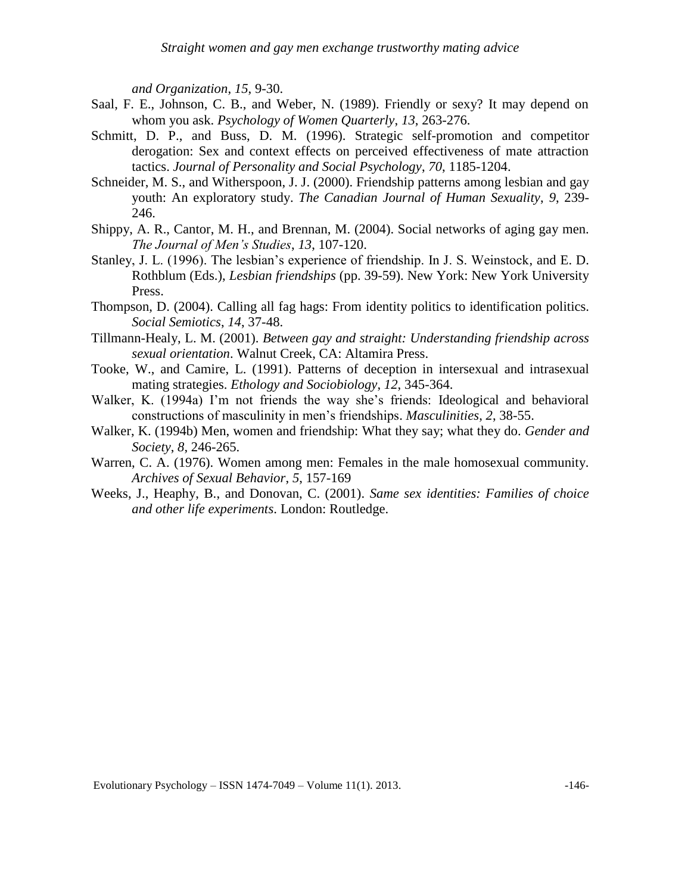*and Organization*, *15*, 9-30.

- Saal, F. E., Johnson, C. B., and Weber, N. (1989). Friendly or sexy? It may depend on whom you ask. *Psychology of Women Quarterly*, *13*, 263-276.
- Schmitt, D. P., and Buss, D. M. (1996). Strategic self-promotion and competitor derogation: Sex and context effects on perceived effectiveness of mate attraction tactics. *Journal of Personality and Social Psychology*, *70*, 1185-1204.
- Schneider, M. S., and Witherspoon, J. J. (2000). Friendship patterns among lesbian and gay youth: An exploratory study. *The Canadian Journal of Human Sexuality*, *9*, 239- 246.
- Shippy, A. R., Cantor, M. H., and Brennan, M. (2004). Social networks of aging gay men. *The Journal of Men's Studies*, *13*, 107-120.
- Stanley, J. L. (1996). The lesbian's experience of friendship. In J. S. Weinstock, and E. D. Rothblum (Eds.), *Lesbian friendships* (pp. 39-59). New York: New York University Press.
- Thompson, D. (2004). Calling all fag hags: From identity politics to identification politics. *Social Semiotics*, *14*, 37-48.
- Tillmann-Healy, L. M. (2001). *Between gay and straight: Understanding friendship across sexual orientation*. Walnut Creek, CA: Altamira Press.
- Tooke, W., and Camire, L. (1991). Patterns of deception in intersexual and intrasexual mating strategies. *Ethology and Sociobiology*, *12*, 345-364.
- Walker, K. (1994a) I'm not friends the way she's friends: Ideological and behavioral constructions of masculinity in men's friendships. *Masculinities*, *2*, 38-55.
- Walker, K. (1994b) Men, women and friendship: What they say; what they do. *Gender and Society*, *8*, 246-265.
- Warren, C. A. (1976). Women among men: Females in the male homosexual community. *Archives of Sexual Behavior*, *5*, 157-169
- Weeks, J., Heaphy, B., and Donovan, C. (2001). *Same sex identities: Families of choice and other life experiments*. London: Routledge.